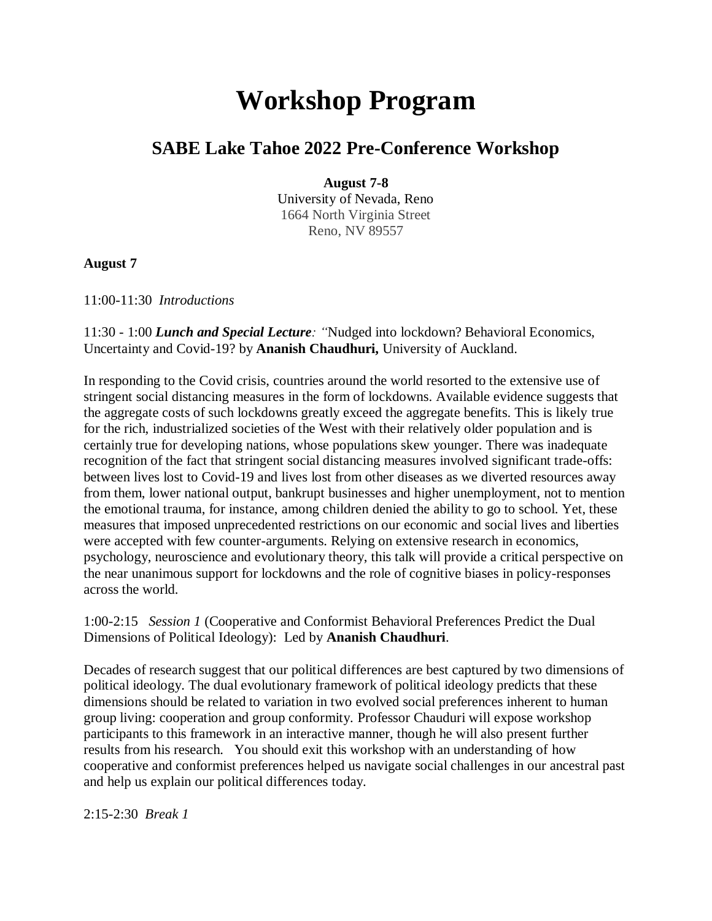## **Workshop Program**

## **SABE Lake Tahoe 2022 Pre-Conference Workshop**

**August 7-8**

University of Nevada, Reno 1664 North Virginia Street Reno, NV 89557

**August 7**

11:00-11:30 *Introductions*

11:30 - 1:00 *Lunch and Special Lecture: "*Nudged into lockdown? Behavioral Economics, Uncertainty and Covid-19? by **Ananish Chaudhuri,** University of Auckland.

In responding to the Covid crisis, countries around the world resorted to the extensive use of stringent social distancing measures in the form of lockdowns. Available evidence suggests that the aggregate costs of such lockdowns greatly exceed the aggregate benefits. This is likely true for the rich, industrialized societies of the West with their relatively older population and is certainly true for developing nations, whose populations skew younger. There was inadequate recognition of the fact that stringent social distancing measures involved significant trade-offs: between lives lost to Covid-19 and lives lost from other diseases as we diverted resources away from them, lower national output, bankrupt businesses and higher unemployment, not to mention the emotional trauma, for instance, among children denied the ability to go to school. Yet, these measures that imposed unprecedented restrictions on our economic and social lives and liberties were accepted with few counter-arguments. Relying on extensive research in economics, psychology, neuroscience and evolutionary theory, this talk will provide a critical perspective on the near unanimous support for lockdowns and the role of cognitive biases in policy-responses across the world.

1:00-2:15*Session 1* (Cooperative and Conformist Behavioral Preferences Predict the Dual Dimensions of Political Ideology): Led by **Ananish Chaudhuri**.

Decades of research suggest that our political differences are best captured by two dimensions of political ideology. The dual evolutionary framework of political ideology predicts that these dimensions should be related to variation in two evolved social preferences inherent to human group living: cooperation and group conformity. Professor Chauduri will expose workshop participants to this framework in an interactive manner, though he will also present further results from his research. You should exit this workshop with an understanding of how cooperative and conformist preferences helped us navigate social challenges in our ancestral past and help us explain our political differences today.

2:15-2:30*Break 1*